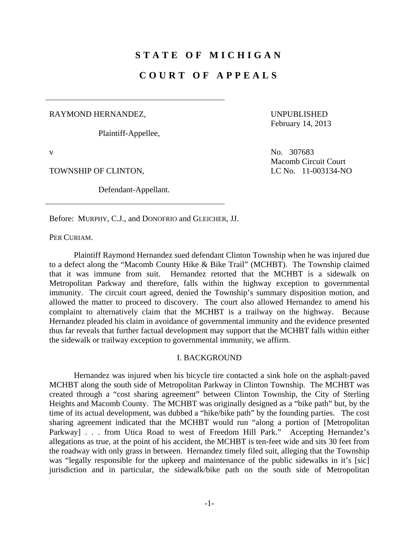# **STATE OF MICHIGAN**

## **COURT OF APPEALS**

RAYMOND HERNANDEZ,

Plaintiff-Appellee,

UNPUBLISHED February 14, 2013

TOWNSHIP OF CLINTON, TOWNSHIP OF CLINTON,

Defendant-Appellant.

v No. 307683 Macomb Circuit Court

Before: MURPHY, C.J., and DONOFRIO and GLEICHER, JJ.

PER CURIAM.

 Plaintiff Raymond Hernandez sued defendant Clinton Township when he was injured due to a defect along the "Macomb County Hike & Bike Trail" (MCHBT). The Township claimed that it was immune from suit. Hernandez retorted that the MCHBT is a sidewalk on Metropolitan Parkway and therefore, falls within the highway exception to governmental immunity. The circuit court agreed, denied the Township's summary disposition motion, and allowed the matter to proceed to discovery. The court also allowed Hernandez to amend his complaint to alternatively claim that the MCHBT is a trailway on the highway. Because Hernandez pleaded his claim in avoidance of governmental immunity and the evidence presented thus far reveals that further factual development may support that the MCHBT falls within either the sidewalk or trailway exception to governmental immunity, we affirm.

#### I. BACKGROUND

 Hernandez was injured when his bicycle tire contacted a sink hole on the asphalt-paved MCHBT along the south side of Metropolitan Parkway in Clinton Township. The MCHBT was created through a "cost sharing agreement" between Clinton Township, the City of Sterling Heights and Macomb County. The MCHBT was originally designed as a "bike path" but, by the time of its actual development, was dubbed a "hike/bike path" by the founding parties. The cost sharing agreement indicated that the MCHBT would run "along a portion of [Metropolitan Parkway] . . . from Utica Road to west of Freedom Hill Park." Accepting Hernandez's allegations as true, at the point of his accident, the MCHBT is ten-feet wide and sits 30 feet from the roadway with only grass in between. Hernandez timely filed suit, alleging that the Township was "legally responsible for the upkeep and maintenance of the public sidewalks in it's [sic] jurisdiction and in particular, the sidewalk/bike path on the south side of Metropolitan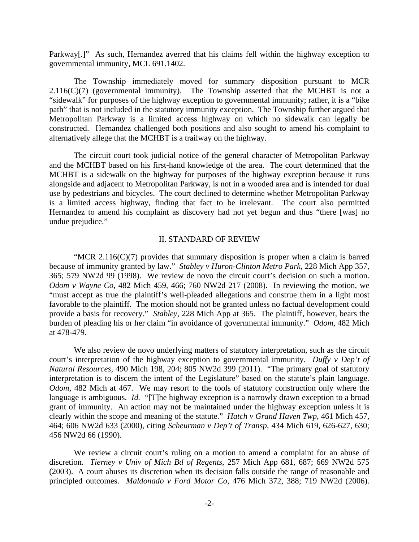Parkway[.]" As such, Hernandez averred that his claims fell within the highway exception to governmental immunity, MCL 691.1402.

 The Township immediately moved for summary disposition pursuant to MCR  $2.116(C)(7)$  (governmental immunity). The Township asserted that the MCHBT is not a "sidewalk" for purposes of the highway exception to governmental immunity; rather, it is a "bike path" that is not included in the statutory immunity exception. The Township further argued that Metropolitan Parkway is a limited access highway on which no sidewalk can legally be constructed. Hernandez challenged both positions and also sought to amend his complaint to alternatively allege that the MCHBT is a trailway on the highway.

 The circuit court took judicial notice of the general character of Metropolitan Parkway and the MCHBT based on his first-hand knowledge of the area. The court determined that the MCHBT is a sidewalk on the highway for purposes of the highway exception because it runs alongside and adjacent to Metropolitan Parkway, is not in a wooded area and is intended for dual use by pedestrians and bicycles. The court declined to determine whether Metropolitan Parkway is a limited access highway, finding that fact to be irrelevant. The court also permitted Hernandez to amend his complaint as discovery had not yet begun and thus "there [was] no undue prejudice."

#### II. STANDARD OF REVIEW

"MCR  $2.116(C)(7)$  provides that summary disposition is proper when a claim is barred because of immunity granted by law." *Stabley v Huron-Clinton Metro Park*, 228 Mich App 357, 365; 579 NW2d 99 (1998). We review de novo the circuit court's decision on such a motion. *Odom v Wayne Co*, 482 Mich 459, 466; 760 NW2d 217 (2008). In reviewing the motion, we "must accept as true the plaintiff's well-pleaded allegations and construe them in a light most favorable to the plaintiff. The motion should not be granted unless no factual development could provide a basis for recovery." *Stabley*, 228 Mich App at 365. The plaintiff, however, bears the burden of pleading his or her claim "in avoidance of governmental immunity." *Odom*, 482 Mich at 478-479.

 We also review de novo underlying matters of statutory interpretation, such as the circuit court's interpretation of the highway exception to governmental immunity. *Duffy v Dep't of Natural Resources*, 490 Mich 198, 204; 805 NW2d 399 (2011). "The primary goal of statutory interpretation is to discern the intent of the Legislature" based on the statute's plain language. *Odom*, 482 Mich at 467. We may resort to the tools of statutory construction only where the language is ambiguous. *Id.* "[T]he highway exception is a narrowly drawn exception to a broad grant of immunity. An action may not be maintained under the highway exception unless it is clearly within the scope and meaning of the statute." *Hatch v Grand Haven Twp*, 461 Mich 457, 464; 606 NW2d 633 (2000), citing *Scheurman v Dep't of Transp*, 434 Mich 619, 626-627, 630; 456 NW2d 66 (1990).

 We review a circuit court's ruling on a motion to amend a complaint for an abuse of discretion. *Tierney v Univ of Mich Bd of Regents*, 257 Mich App 681, 687; 669 NW2d 575 (2003). A court abuses its discretion when its decision falls outside the range of reasonable and principled outcomes. *Maldonado v Ford Motor Co*, 476 Mich 372, 388; 719 NW2d (2006).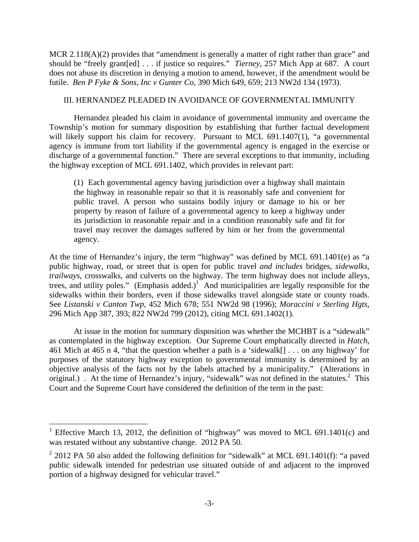MCR 2.118(A)(2) provides that "amendment is generally a matter of right rather than grace" and should be "freely grant[ed] . . . if justice so requires." *Tierney*, 257 Mich App at 687. A court does not abuse its discretion in denying a motion to amend, however, if the amendment would be futile. *Ben P Fyke & Sons, Inc v Gunter Co*, 390 Mich 649, 659; 213 NW2d 134 (1973).

### III. HERNANDEZ PLEADED IN AVOIDANCE OF GOVERNMENTAL IMMUNITY

 Hernandez pleaded his claim in avoidance of governmental immunity and overcame the Township's motion for summary disposition by establishing that further factual development will likely support his claim for recovery. Pursuant to MCL 691.1407(1), "a governmental agency is immune from tort liability if the governmental agency is engaged in the exercise or discharge of a governmental function." There are several exceptions to that immunity, including the highway exception of MCL 691.1402, which provides in relevant part:

(1) Each governmental agency having jurisdiction over a highway shall maintain the highway in reasonable repair so that it is reasonably safe and convenient for public travel. A person who sustains bodily injury or damage to his or her property by reason of failure of a governmental agency to keep a highway under its jurisdiction in reasonable repair and in a condition reasonably safe and fit for travel may recover the damages suffered by him or her from the governmental agency.

At the time of Hernandez's injury, the term "highway" was defined by MCL 691.1401(e) as "a public highway, road, or street that is open for public travel *and includes* bridges, *sidewalks*, *trailways*, crosswalks, and culverts on the highway. The term highway does not include alleys, trees, and utility poles." (Emphasis added.)<sup>1</sup> And municipalities are legally responsible for the sidewalks within their borders, even if those sidewalks travel alongside state or county roads. See *Listanski v Canton Twp*, 452 Mich 678; 551 NW2d 98 (1996); *Moraccini v Sterling Hgts*, 296 Mich App 387, 393; 822 NW2d 799 (2012), citing MCL 691.1402(1).

 At issue in the motion for summary disposition was whether the MCHBT is a "sidewalk" as contemplated in the highway exception. Our Supreme Court emphatically directed in *Hatch*, 461 Mich at 465 n 4, "that the question whether a path is a 'sidewalk[] . . . on any highway' for purposes of the statutory highway exception to governmental immunity is determined by an objective analysis of the facts not by the labels attached by a municipality." (Alterations in original.) . At the time of Hernandez's injury, "sidewalk" was not defined in the statutes.<sup>2</sup> This Court and the Supreme Court have considered the definition of the term in the past:

<u>.</u>

<sup>&</sup>lt;sup>1</sup> Effective March 13, 2012, the definition of "highway" was moved to MCL 691.1401 $(c)$  and was restated without any substantive change. 2012 PA 50.

 $2$  2012 PA 50 also added the following definition for "sidewalk" at MCL 691.1401(f): "a paved public sidewalk intended for pedestrian use situated outside of and adjacent to the improved portion of a highway designed for vehicular travel."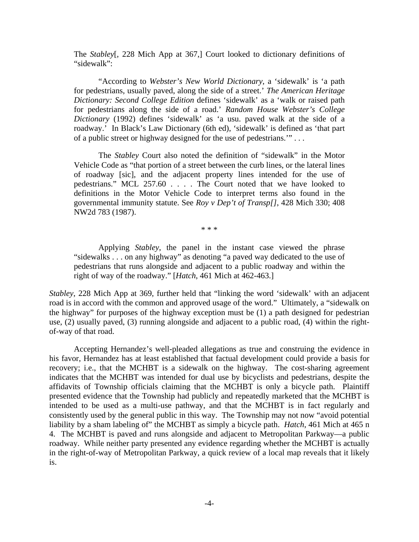The *Stabley*[, 228 Mich App at 367,] Court looked to dictionary definitions of "sidewalk":

 "According to *Webster's New World Dictionary*, a 'sidewalk' is 'a path for pedestrians, usually paved, along the side of a street.' *The American Heritage Dictionary: Second College Edition* defines 'sidewalk' as a 'walk or raised path for pedestrians along the side of a road.' *Random House Webster's College Dictionary* (1992) defines 'sidewalk' as 'a usu. paved walk at the side of a roadway.' In Black's Law Dictionary (6th ed), 'sidewalk' is defined as 'that part of a public street or highway designed for the use of pedestrians.'" . . .

 The *Stabley* Court also noted the definition of "sidewalk" in the Motor Vehicle Code as "that portion of a street between the curb lines, or the lateral lines of roadway [sic], and the adjacent property lines intended for the use of pedestrians." MCL 257.60 . . . . The Court noted that we have looked to definitions in the Motor Vehicle Code to interpret terms also found in the governmental immunity statute. See *Roy v Dep't of Transp[]*, 428 Mich 330; 408 NW2d 783 (1987).

\* \* \*

 Applying *Stabley*, the panel in the instant case viewed the phrase "sidewalks . . . on any highway" as denoting "a paved way dedicated to the use of pedestrians that runs alongside and adjacent to a public roadway and within the right of way of the roadway." [*Hatch*, 461 Mich at 462-463.]

*Stabley*, 228 Mich App at 369, further held that "linking the word 'sidewalk' with an adjacent road is in accord with the common and approved usage of the word." Ultimately, a "sidewalk on the highway" for purposes of the highway exception must be (1) a path designed for pedestrian use, (2) usually paved, (3) running alongside and adjacent to a public road, (4) within the rightof-way of that road.

 Accepting Hernandez's well-pleaded allegations as true and construing the evidence in his favor, Hernandez has at least established that factual development could provide a basis for recovery; i.e., that the MCHBT is a sidewalk on the highway. The cost-sharing agreement indicates that the MCHBT was intended for dual use by bicyclists and pedestrians, despite the affidavits of Township officials claiming that the MCHBT is only a bicycle path. Plaintiff presented evidence that the Township had publicly and repeatedly marketed that the MCHBT is intended to be used as a multi-use pathway, and that the MCHBT is in fact regularly and consistently used by the general public in this way. The Township may not now "avoid potential liability by a sham labeling of" the MCHBT as simply a bicycle path. *Hatch*, 461 Mich at 465 n 4. The MCHBT is paved and runs alongside and adjacent to Metropolitan Parkway—a public roadway. While neither party presented any evidence regarding whether the MCHBT is actually in the right-of-way of Metropolitan Parkway, a quick review of a local map reveals that it likely is.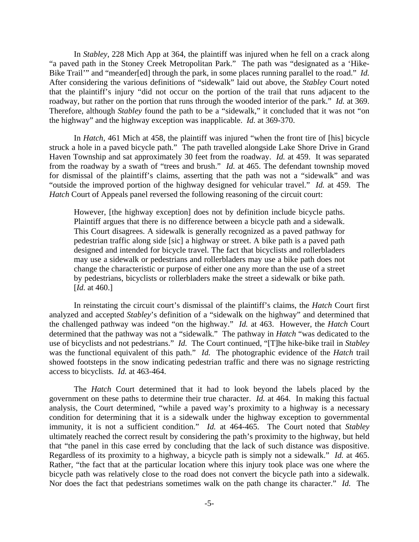In *Stabley*, 228 Mich App at 364, the plaintiff was injured when he fell on a crack along "a paved path in the Stoney Creek Metropolitan Park." The path was "designated as a 'Hike-Bike Trail'" and "meander[ed] through the park, in some places running parallel to the road." *Id.* After considering the various definitions of "sidewalk" laid out above, the *Stabley* Court noted that the plaintiff's injury "did not occur on the portion of the trail that runs adjacent to the roadway, but rather on the portion that runs through the wooded interior of the park." *Id.* at 369. Therefore, although *Stabley* found the path to be a "sidewalk," it concluded that it was not "on the highway" and the highway exception was inapplicable. *Id.* at 369-370.

 In *Hatch*, 461 Mich at 458, the plaintiff was injured "when the front tire of [his] bicycle struck a hole in a paved bicycle path." The path travelled alongside Lake Shore Drive in Grand Haven Township and sat approximately 30 feet from the roadway. *Id.* at 459. It was separated from the roadway by a swath of "trees and brush." *Id.* at 465. The defendant township moved for dismissal of the plaintiff's claims, asserting that the path was not a "sidewalk" and was "outside the improved portion of the highway designed for vehicular travel." *Id.* at 459. The *Hatch* Court of Appeals panel reversed the following reasoning of the circuit court:

However, [the highway exception] does not by definition include bicycle paths. Plaintiff argues that there is no difference between a bicycle path and a sidewalk. This Court disagrees. A sidewalk is generally recognized as a paved pathway for pedestrian traffic along side [sic] a highway or street. A bike path is a paved path designed and intended for bicycle travel. The fact that bicyclists and rollerbladers may use a sidewalk or pedestrians and rollerbladers may use a bike path does not change the characteristic or purpose of either one any more than the use of a street by pedestrians, bicyclists or rollerbladers make the street a sidewalk or bike path. [*Id.* at 460.]

 In reinstating the circuit court's dismissal of the plaintiff's claims, the *Hatch* Court first analyzed and accepted *Stabley*'s definition of a "sidewalk on the highway" and determined that the challenged pathway was indeed "on the highway." *Id.* at 463. However, the *Hatch* Court determined that the pathway was not a "sidewalk." The pathway in *Hatch* "was dedicated to the use of bicyclists and not pedestrians." *Id.* The Court continued, "[T]he hike-bike trail in *Stabley* was the functional equivalent of this path." *Id.* The photographic evidence of the *Hatch* trail showed footsteps in the snow indicating pedestrian traffic and there was no signage restricting access to bicyclists. *Id.* at 463-464.

 The *Hatch* Court determined that it had to look beyond the labels placed by the government on these paths to determine their true character. *Id.* at 464. In making this factual analysis, the Court determined, "while a paved way's proximity to a highway is a necessary condition for determining that it is a sidewalk under the highway exception to governmental immunity, it is not a sufficient condition." *Id.* at 464-465. The Court noted that *Stabley* ultimately reached the correct result by considering the path's proximity to the highway, but held that "the panel in this case erred by concluding that the lack of such distance was dispositive. Regardless of its proximity to a highway, a bicycle path is simply not a sidewalk." *Id.* at 465. Rather, "the fact that at the particular location where this injury took place was one where the bicycle path was relatively close to the road does not convert the bicycle path into a sidewalk. Nor does the fact that pedestrians sometimes walk on the path change its character." *Id.* The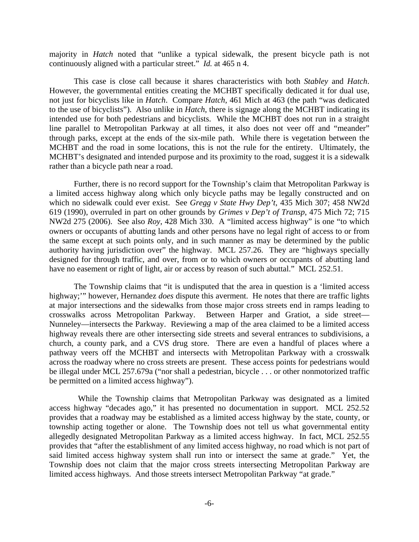majority in *Hatch* noted that "unlike a typical sidewalk, the present bicycle path is not continuously aligned with a particular street." *Id.* at 465 n 4.

 This case is close call because it shares characteristics with both *Stabley* and *Hatch*. However, the governmental entities creating the MCHBT specifically dedicated it for dual use, not just for bicyclists like in *Hatch*. Compare *Hatch*, 461 Mich at 463 (the path "was dedicated to the use of bicyclists"). Also unlike in *Hatch*, there is signage along the MCHBT indicating its intended use for both pedestrians and bicyclists. While the MCHBT does not run in a straight line parallel to Metropolitan Parkway at all times, it also does not veer off and "meander" through parks, except at the ends of the six-mile path. While there is vegetation between the MCHBT and the road in some locations, this is not the rule for the entirety. Ultimately, the MCHBT's designated and intended purpose and its proximity to the road, suggest it is a sidewalk rather than a bicycle path near a road.

 Further, there is no record support for the Township's claim that Metropolitan Parkway is a limited access highway along which only bicycle paths may be legally constructed and on which no sidewalk could ever exist. See *Gregg v State Hwy Dep't*, 435 Mich 307; 458 NW2d 619 (1990), overruled in part on other grounds by *Grimes v Dep't of Transp*, 475 Mich 72; 715 NW2d 275 (2006). See also *Roy*, 428 Mich 330. A "limited access highway" is one "to which owners or occupants of abutting lands and other persons have no legal right of access to or from the same except at such points only, and in such manner as may be determined by the public authority having jurisdiction over" the highway. MCL 257.26. They are "highways specially designed for through traffic, and over, from or to which owners or occupants of abutting land have no easement or right of light, air or access by reason of such abuttal." MCL 252.51.

 The Township claims that "it is undisputed that the area in question is a 'limited access highway;'" however, Hernandez *does* dispute this averment. He notes that there are traffic lights at major intersections and the sidewalks from those major cross streets end in ramps leading to crosswalks across Metropolitan Parkway. Between Harper and Gratiot, a side street— Nunneley—intersects the Parkway. Reviewing a map of the area claimed to be a limited access highway reveals there are other intersecting side streets and several entrances to subdivisions, a church, a county park, and a CVS drug store. There are even a handful of places where a pathway veers off the MCHBT and intersects with Metropolitan Parkway with a crosswalk across the roadway where no cross streets are present. These access points for pedestrians would be illegal under MCL 257.679a ("nor shall a pedestrian, bicycle . . . or other nonmotorized traffic be permitted on a limited access highway").

 While the Township claims that Metropolitan Parkway was designated as a limited access highway "decades ago," it has presented no documentation in support. MCL 252.52 provides that a roadway may be established as a limited access highway by the state, county, or township acting together or alone. The Township does not tell us what governmental entity allegedly designated Metropolitan Parkway as a limited access highway. In fact, MCL 252.55 provides that "after the establishment of any limited access highway, no road which is not part of said limited access highway system shall run into or intersect the same at grade." Yet, the Township does not claim that the major cross streets intersecting Metropolitan Parkway are limited access highways. And those streets intersect Metropolitan Parkway "at grade."